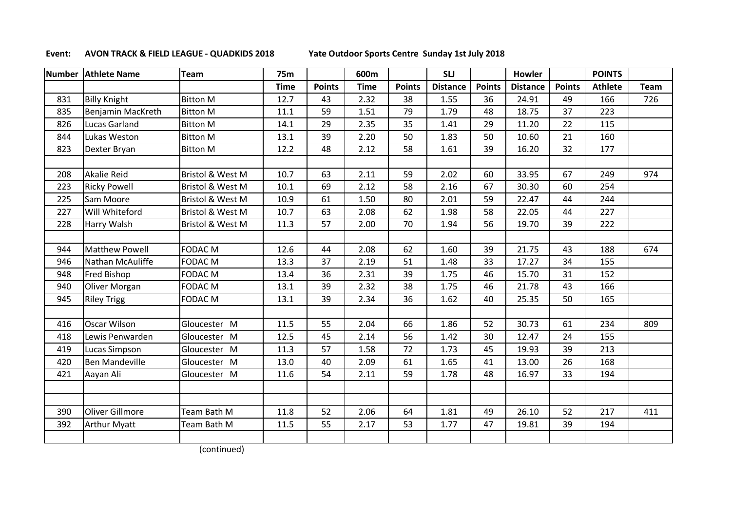## **Event: AVON TRACK & FIELD LEAGUE - QUADKIDS 2018 Yate Outdoor Sports Centre Sunday 1st July 2018**

| <b>Number</b> | <b>Athlete Name</b>   | <b>Team</b>                 | <b>75m</b>  |               | 600m |               | <b>SLJ</b>      |               | Howler          |               | <b>POINTS</b>  |             |
|---------------|-----------------------|-----------------------------|-------------|---------------|------|---------------|-----------------|---------------|-----------------|---------------|----------------|-------------|
|               |                       |                             | <b>Time</b> | <b>Points</b> | Time | <b>Points</b> | <b>Distance</b> | <b>Points</b> | <b>Distance</b> | <b>Points</b> | <b>Athlete</b> | <b>Team</b> |
| 831           | <b>Billy Knight</b>   | <b>Bitton M</b>             | 12.7        | 43            | 2.32 | 38            | 1.55            | 36            | 24.91           | 49            | 166            | 726         |
| 835           | Benjamin MacKreth     | <b>Bitton M</b>             | 11.1        | 59            | 1.51 | 79            | 1.79            | 48            | 18.75           | 37            | 223            |             |
| 826           | <b>Lucas Garland</b>  | <b>Bitton M</b>             | 14.1        | 29            | 2.35 | 35            | 1.41            | 29            | 11.20           | 22            | 115            |             |
| 844           | Lukas Weston          | <b>Bitton M</b>             | 13.1        | 39            | 2.20 | 50            | 1.83            | 50            | 10.60           | 21            | 160            |             |
| 823           | Dexter Bryan          | <b>Bitton M</b>             | 12.2        | 48            | 2.12 | 58            | 1.61            | 39            | 16.20           | 32            | 177            |             |
|               |                       |                             |             |               |      |               |                 |               |                 |               |                |             |
| 208           | <b>Akalie Reid</b>    | <b>Bristol &amp; West M</b> | 10.7        | 63            | 2.11 | 59            | 2.02            | 60            | 33.95           | 67            | 249            | 974         |
| 223           | <b>Ricky Powell</b>   | Bristol & West M            | 10.1        | 69            | 2.12 | 58            | 2.16            | 67            | 30.30           | 60            | 254            |             |
| 225           | Sam Moore             | Bristol & West M            | 10.9        | 61            | 1.50 | 80            | 2.01            | 59            | 22.47           | 44            | 244            |             |
| 227           | Will Whiteford        | Bristol & West M            | 10.7        | 63            | 2.08 | 62            | 1.98            | 58            | 22.05           | 44            | 227            |             |
| 228           | Harry Walsh           | Bristol & West M            | 11.3        | 57            | 2.00 | 70            | 1.94            | 56            | 19.70           | 39            | 222            |             |
|               |                       |                             |             |               |      |               |                 |               |                 |               |                |             |
| 944           | <b>Matthew Powell</b> | <b>FODAC M</b>              | 12.6        | 44            | 2.08 | 62            | 1.60            | 39            | 21.75           | 43            | 188            | 674         |
| 946           | Nathan McAuliffe      | <b>FODAC M</b>              | 13.3        | 37            | 2.19 | 51            | 1.48            | 33            | 17.27           | 34            | 155            |             |
| 948           | <b>Fred Bishop</b>    | <b>FODAC M</b>              | 13.4        | 36            | 2.31 | 39            | 1.75            | 46            | 15.70           | 31            | 152            |             |
| 940           | Oliver Morgan         | <b>FODAC M</b>              | 13.1        | 39            | 2.32 | 38            | 1.75            | 46            | 21.78           | 43            | 166            |             |
| 945           | <b>Riley Trigg</b>    | <b>FODAC M</b>              | 13.1        | 39            | 2.34 | 36            | 1.62            | 40            | 25.35           | 50            | 165            |             |
|               |                       |                             |             |               |      |               |                 |               |                 |               |                |             |
| 416           | <b>Oscar Wilson</b>   | Gloucester M                | 11.5        | 55            | 2.04 | 66            | 1.86            | 52            | 30.73           | 61            | 234            | 809         |
| 418           | Lewis Penwarden       | Gloucester M                | 12.5        | 45            | 2.14 | 56            | 1.42            | 30            | 12.47           | 24            | 155            |             |
| 419           | Lucas Simpson         | Gloucester M                | 11.3        | 57            | 1.58 | 72            | 1.73            | 45            | 19.93           | 39            | 213            |             |
| 420           | <b>Ben Mandeville</b> | Gloucester M                | 13.0        | 40            | 2.09 | 61            | 1.65            | 41            | 13.00           | 26            | 168            |             |
| 421           | Aayan Ali             | Gloucester M                | 11.6        | 54            | 2.11 | 59            | 1.78            | 48            | 16.97           | 33            | 194            |             |
|               |                       |                             |             |               |      |               |                 |               |                 |               |                |             |
|               |                       |                             |             |               |      |               |                 |               |                 |               |                |             |
| 390           | Oliver Gillmore       | Team Bath M                 | 11.8        | 52            | 2.06 | 64            | 1.81            | 49            | 26.10           | 52            | 217            | 411         |
| 392           | <b>Arthur Myatt</b>   | Team Bath M                 | 11.5        | 55            | 2.17 | 53            | 1.77            | 47            | 19.81           | 39            | 194            |             |
|               |                       |                             |             |               |      |               |                 |               |                 |               |                |             |

(continued)